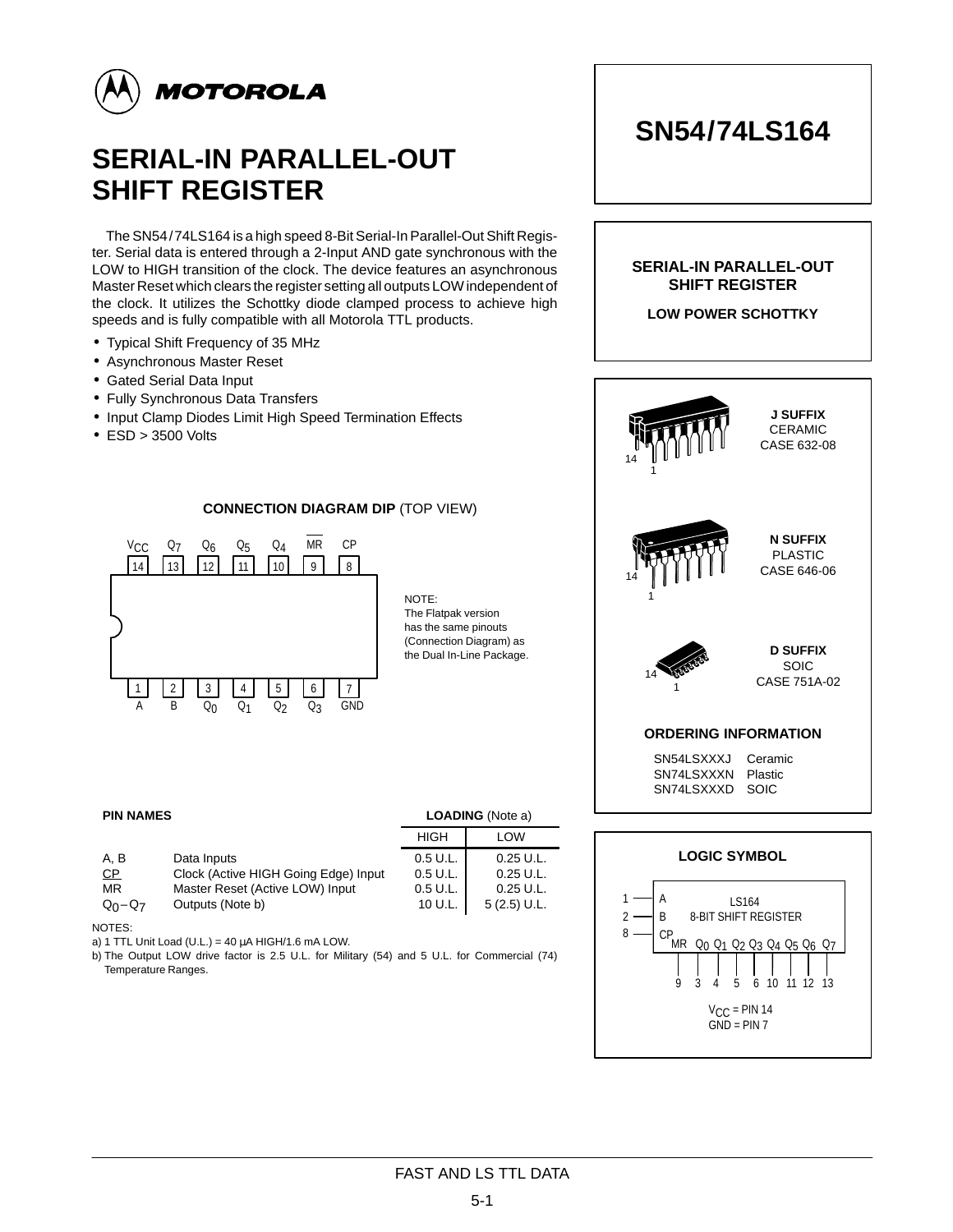

# **SERIAL-IN PARALLEL-OUT SHIFT REGISTER**

The SN54/74LS164 is a high speed 8-Bit Serial-In Parallel-Out Shift Register. Serial data is entered through a 2-Input AND gate synchronous with the LOW to HIGH transition of the clock. The device features an asynchronous Master Reset which clears the register setting all outputs LOW independent of the clock. It utilizes the Schottky diode clamped process to achieve high speeds and is fully compatible with all Motorola TTL products.

- Typical Shift Frequency of 35 MHz
- Asynchronous Master Reset
- Gated Serial Data Input
- Fully Synchronous Data Transfers
- Input Clamp Diodes Limit High Speed Termination Effects
- ESD > 3500 Volts

### **CONNECTION DIAGRAM DIP** (TOP VIEW)



NOTE: The Flatpak version has the same pinouts (Connection Diagram) as the Dual In-Line Package.

#### **PIN NAMES** LOADING (Note a)

| A. B        | Data Inputs                          | 0.5 U.L. |
|-------------|--------------------------------------|----------|
| CP.         | Clock (Active HIGH Going Edge) Input | 0.5 U.L. |
| <b>MR</b>   | Master Reset (Active LOW) Input      | 0.5 U.L. |
| $Q_0 - Q_7$ | Outputs (Note b)                     | 10 U.L.  |
|             |                                      |          |

NOTES:

a) 1 TTL Unit Load (U.L.) = 40  $\mu$ A HIGH/1.6 mA LOW.

b) The Output LOW drive factor is 2.5 U.L. for Military (54) and 5 U.L. for Commercial (74) Temperature Ranges.





0.25 U.L. 0.25 U.L. 0.25 U.L. 5 (2.5) U.L.

HIGH LOW

**SN54/74LS164**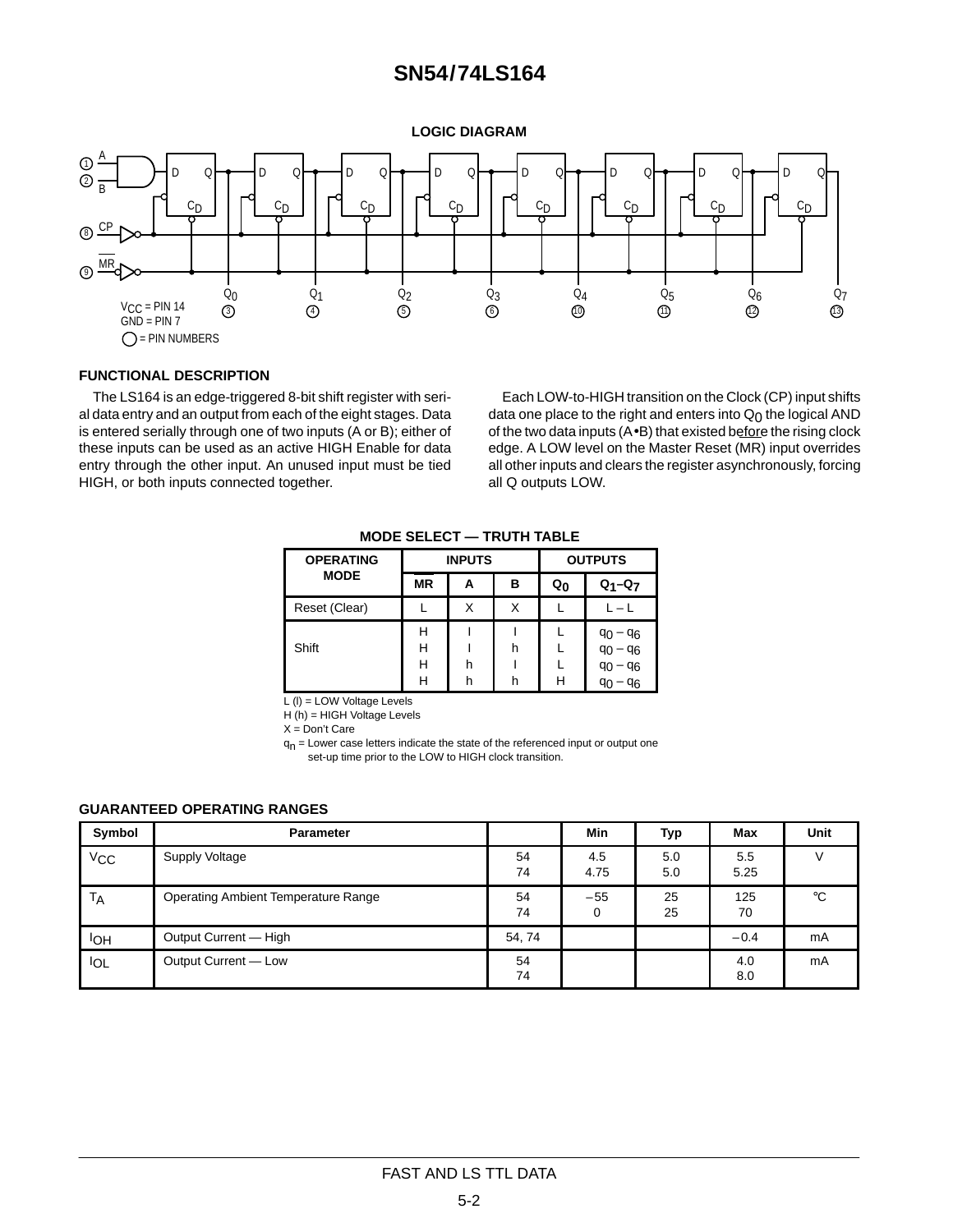### **SN54/74LS164**

**LOGIC DIAGRAM**



#### **FUNCTIONAL DESCRIPTION**

The LS164 is an edge-triggered 8-bit shift register with serial data entry and an output from each of the eight stages. Data is entered serially through one of two inputs (A or B); either of these inputs can be used as an active HIGH Enable for data entry through the other input. An unused input must be tied HIGH, or both inputs connected together.

Each LOW-to-HIGH transition on the Clock (CP) input shifts data one place to the right and enters into  $Q_0$  the logical AND of the two data inputs (A•B) that existed before the rising clock edge. A LOW level on the Master Reset (MR) input overrides all other inputs and clears the register asynchronously, forcing all Q outputs LOW.

| <b>OPERATING</b> |                  | <b>INPUTS</b> |        | <b>OUTPUTS</b> |                                                        |  |
|------------------|------------------|---------------|--------|----------------|--------------------------------------------------------|--|
| <b>MODE</b>      | <b>MR</b>        |               | в      | Q <sub>0</sub> | $Q_1 - Q_7$                                            |  |
| Reset (Clear)    |                  |               | X      |                | $L-L$                                                  |  |
| Shift            | н<br>н<br>н<br>Н | h             | h<br>h | н              | $90 - 96$<br>$q_0 - q_6$<br>$q_0$<br>$-96$<br>96<br>٩c |  |

**MODE SELECT — TRUTH TABLE**

 $L (I) = LOW$  Voltage Levels

H (h) = HIGH Voltage Levels

 $X =$ Don't Care

 $q_n$  = Lower case letters indicate the state of the referenced input or output one set-up time prior to the LOW to HIGH clock transition.

#### **GUARANTEED OPERATING RANGES**

| Symbol                | <b>Parameter</b>                           |          | <b>Min</b>  | Typ        | Max         | Unit        |
|-----------------------|--------------------------------------------|----------|-------------|------------|-------------|-------------|
| <b>V<sub>CC</sub></b> | Supply Voltage                             | 54<br>74 | 4.5<br>4.75 | 5.0<br>5.0 | 5.5<br>5.25 |             |
| <b>TA</b>             | <b>Operating Ambient Temperature Range</b> | 54<br>74 | $-55$<br>0  | 25<br>25   | 125<br>70   | $^{\circ}C$ |
| IОH                   | Output Current - High                      | 54, 74   |             |            | $-0.4$      | mA          |
| <b>IOL</b>            | Output Current - Low                       | 54<br>74 |             |            | 4.0<br>8.0  | mA          |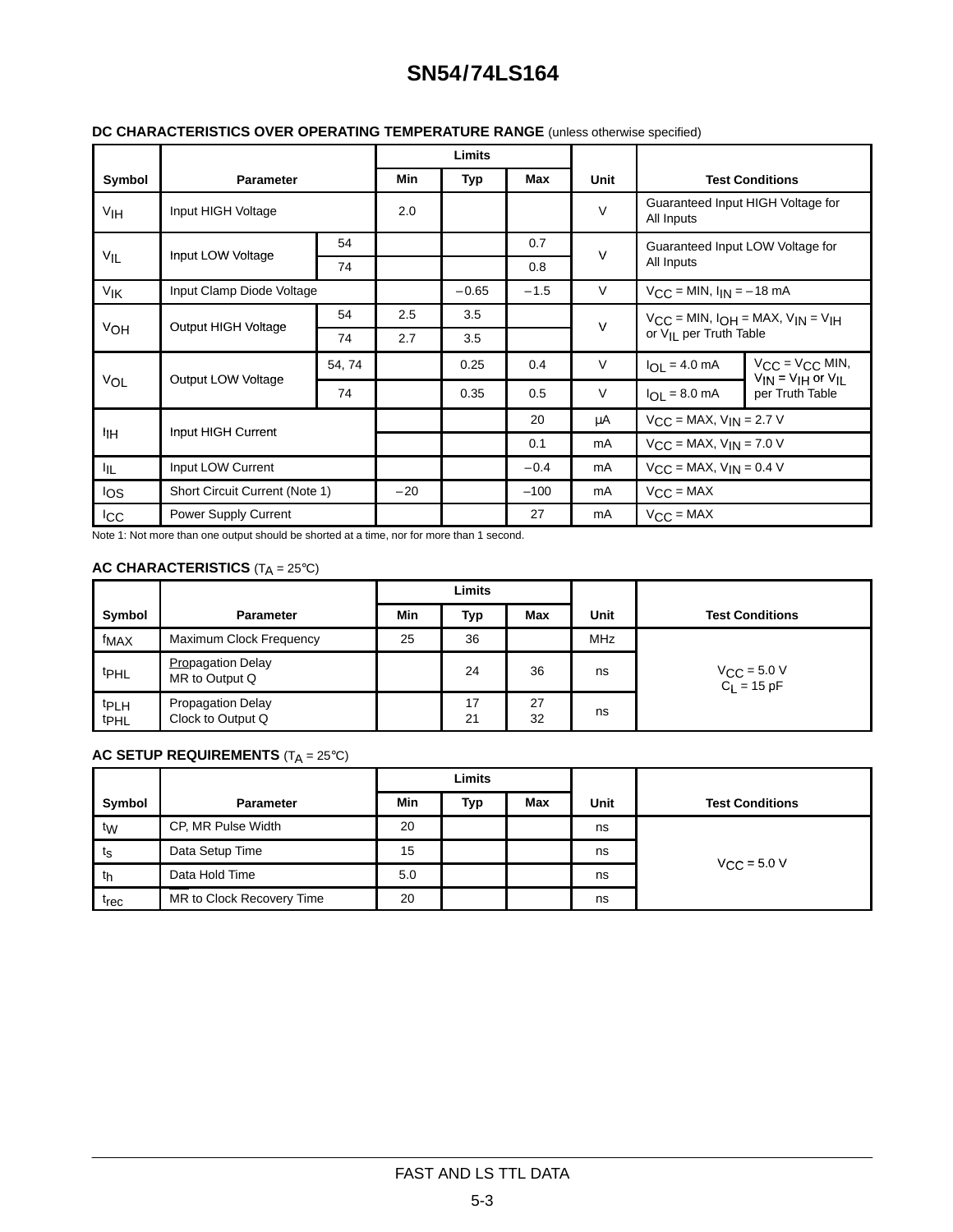# **SN54/74LS164**

| DC CHARACTERISTICS OVER OPERATING TEMPERATURE RANGE (unless otherwise specified) |  |
|----------------------------------------------------------------------------------|--|
|                                                                                  |  |

|                           |                                |    | Limits |         |        |                                  |                                                                                           |                                                         |
|---------------------------|--------------------------------|----|--------|---------|--------|----------------------------------|-------------------------------------------------------------------------------------------|---------------------------------------------------------|
| Symbol                    | Parameter                      |    | Min    | Typ     | Max    | Unit                             |                                                                                           | <b>Test Conditions</b>                                  |
| V <sub>IH</sub>           | Input HIGH Voltage             |    | 2.0    |         |        | $\vee$                           | Guaranteed Input HIGH Voltage for<br>All Inputs                                           |                                                         |
|                           |                                | 54 |        |         | 0.7    | $\vee$                           | Guaranteed Input LOW Voltage for<br>All Inputs                                            |                                                         |
| $V_{IL}$                  | Input LOW Voltage              | 74 |        |         | 0.8    |                                  |                                                                                           |                                                         |
| VIK                       | Input Clamp Diode Voltage      |    |        | $-0.65$ | $-1.5$ | $\vee$                           | $V_{CC} = MIN, I_{IN} = -18 mA$                                                           |                                                         |
|                           | Output HIGH Voltage            | 54 | 2.5    | 3.5     |        | $\vee$                           | $V_{CC}$ = MIN, $I_{OH}$ = MAX, $V_{IN}$ = $V_{IH}$<br>or V <sub>II</sub> per Truth Table |                                                         |
| VOH                       |                                | 74 | 2.7    | 3.5     |        |                                  |                                                                                           |                                                         |
|                           |                                |    |        | 0.25    | 0.4    | $\vee$                           | $I_{OL} = 4.0$ mA                                                                         | $V_{CC} = V_{CC}$ MIN,<br>$V_{IN} = V_{IH}$ or $V_{IL}$ |
| Output LOW Voltage<br>VOL | 74                             |    | 0.35   | 0.5     | V      | $I_{OL} = 8.0$ mA                | per Truth Table                                                                           |                                                         |
|                           |                                |    |        | 20      | μA     | $V_{CC}$ = MAX, $V_{IN}$ = 2.7 V |                                                                                           |                                                         |
| ŀін                       | Input HIGH Current             |    |        |         | 0.1    | mA                               | $V_{CC}$ = MAX, $V_{IN}$ = 7.0 V                                                          |                                                         |
| ŀμ                        | Input LOW Current              |    |        |         | $-0.4$ | mA                               | $V_{CC}$ = MAX, $V_{IN}$ = 0.4 V                                                          |                                                         |
| los                       | Short Circuit Current (Note 1) |    | $-20$  |         | $-100$ | mA                               | $V_{CC} = MAX$                                                                            |                                                         |
| <sub>ICC</sub>            | Power Supply Current           |    |        |         | 27     | mA                               | $V_{CC} = MAX$                                                                            |                                                         |

Note 1: Not more than one output should be shorted at a time, nor for more than 1 second.

### **AC CHARACTERISTICS** (T<sub>A</sub> = 25°C)

|                                 |                                               | Limits |          |          |            |                                                           |
|---------------------------------|-----------------------------------------------|--------|----------|----------|------------|-----------------------------------------------------------|
| Symbol                          | <b>Parameter</b>                              | Min    | Typ      | Max      | Unit       | <b>Test Conditions</b>                                    |
| fMAX                            | Maximum Clock Frequency                       | 25     | 36       |          | <b>MHz</b> |                                                           |
| t <sub>PHL</sub>                | <b>Propagation Delay</b><br>MR to Output Q    |        | 24       | 36       | ns         | $V_{\text{CC}} = 5.0 \text{ V}$<br>C <sub>L</sub> = 15 pF |
| <b>tPLH</b><br>t <sub>PHL</sub> | <b>Propagation Delay</b><br>Clock to Output Q |        | 17<br>21 | 27<br>32 | ns         |                                                           |

### **AC SETUP REQUIREMENTS** (T<sub>A</sub> = 25°C)

|                      |                           | Limits |     |     |      |                         |  |
|----------------------|---------------------------|--------|-----|-----|------|-------------------------|--|
| Symbol               | <b>Parameter</b>          | Min    | Тур | Max | Unit | <b>Test Conditions</b>  |  |
| tw                   | CP, MR Pulse Width        | 20     |     |     | ns   |                         |  |
| ι <sub>S</sub>       | Data Setup Time           | 15     |     |     | ns   |                         |  |
| Data Hold Time<br>tη |                           | 5.0    |     |     | ns   | $V_{\text{CC}}$ = 5.0 V |  |
| t <sub>rec</sub>     | MR to Clock Recovery Time | 20     |     |     | ns   |                         |  |